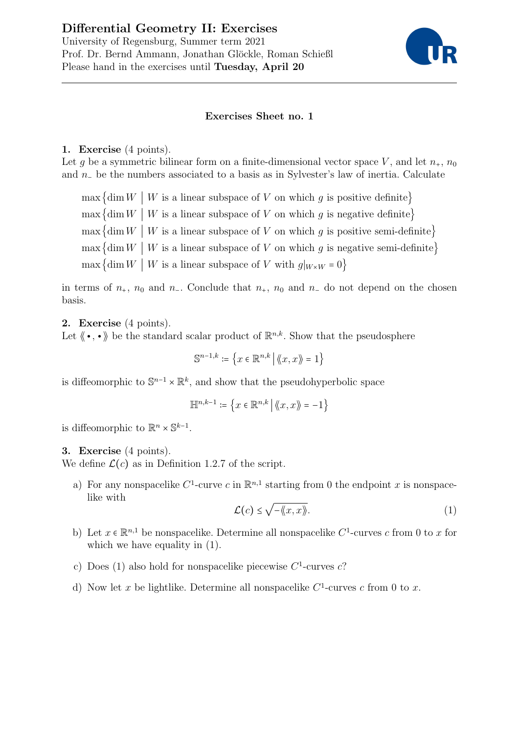# Differential Geometry II: Exercises University of Regensburg, Summer term 2021 Prof. Dr. Bernd Ammann, Jonathan Glöckle, Roman Schießl Please hand in the exercises until Tuesday, April 20



## Exercises Sheet no. 1

#### 1. Exercise (4 points).

Let q be a symmetric bilinear form on a finite-dimensional vector space V, and let  $n_{+}$ ,  $n_{0}$ and n<sup>−</sup> be the numbers associated to a basis as in Sylvester's law of inertia. Calculate

 $\max \{ \dim W \mid W \text{ is a linear subspace of } V \text{ on which } q \text{ is positive definite} \}$  $\max \{ \dim W \mid W \text{ is a linear subspace of } V \text{ on which } g \text{ is negative definite} \}$  $\max \{ \dim W \mid W \text{ is a linear subspace of } V \text{ on which } g \text{ is positive semi-definite} \}$  $\max \{ \dim W \mid W \text{ is a linear subspace of } V \text{ on which } q \text{ is negative semi-definite} \}$ max {dim  $W \mid W$  is a linear subspace of V with  $g|_{W \times W} = 0$ }

in terms of  $n_+$ ,  $n_0$  and  $n_-$ . Conclude that  $n_+$ ,  $n_0$  and  $n_-$  do not depend on the chosen basis.

2. Exercise (4 points).

Let  $\langle \bullet, \bullet \rangle$  be the standard scalar product of  $\mathbb{R}^{n,k}$ . Show that the pseudosphere

 $\mathbb{S}^{n-1,k} \coloneqq \left\{ x \in \mathbb{R}^{n,k} \, \middle| \, \langle \! \langle x, x \rangle \! \rangle = 1 \right\}$ 

is diffeomorphic to  $\mathbb{S}^{n-1} \times \mathbb{R}^k$ , and show that the pseudohyperbolic space

$$
\mathbb{H}^{n,k-1}\coloneqq\left\{x\in\mathbb{R}^{n,k}\,\middle|\,\left\langle\!\left\langle x,x\right\rangle\!\right\rangle\right.=-1\right\}
$$

is diffeomorphic to  $\mathbb{R}^n \times \mathbb{S}^{k-1}$ .

### 3. Exercise (4 points).

We define  $\mathcal{L}(c)$  as in Definition 1.2.7 of the script.

a) For any nonspacelike  $C^1$ -curve c in  $\mathbb{R}^{n,1}$  starting from 0 the endpoint x is nonspacelike with √

$$
\mathcal{L}(c) \le \sqrt{-\langle\!\langle x, x\rangle\!\rangle}.\tag{1}
$$

- b) Let  $x \in \mathbb{R}^{n,1}$  be nonspacelike. Determine all nonspacelike  $C^1$ -curves c from 0 to x for which we have equality in  $(1)$ .
- c) Does (1) also hold for nonspacelike piecewise  $C^1$ -curves c?
- d) Now let x be lightlike. Determine all nonspacelike  $C<sup>1</sup>$ -curves c from 0 to x.